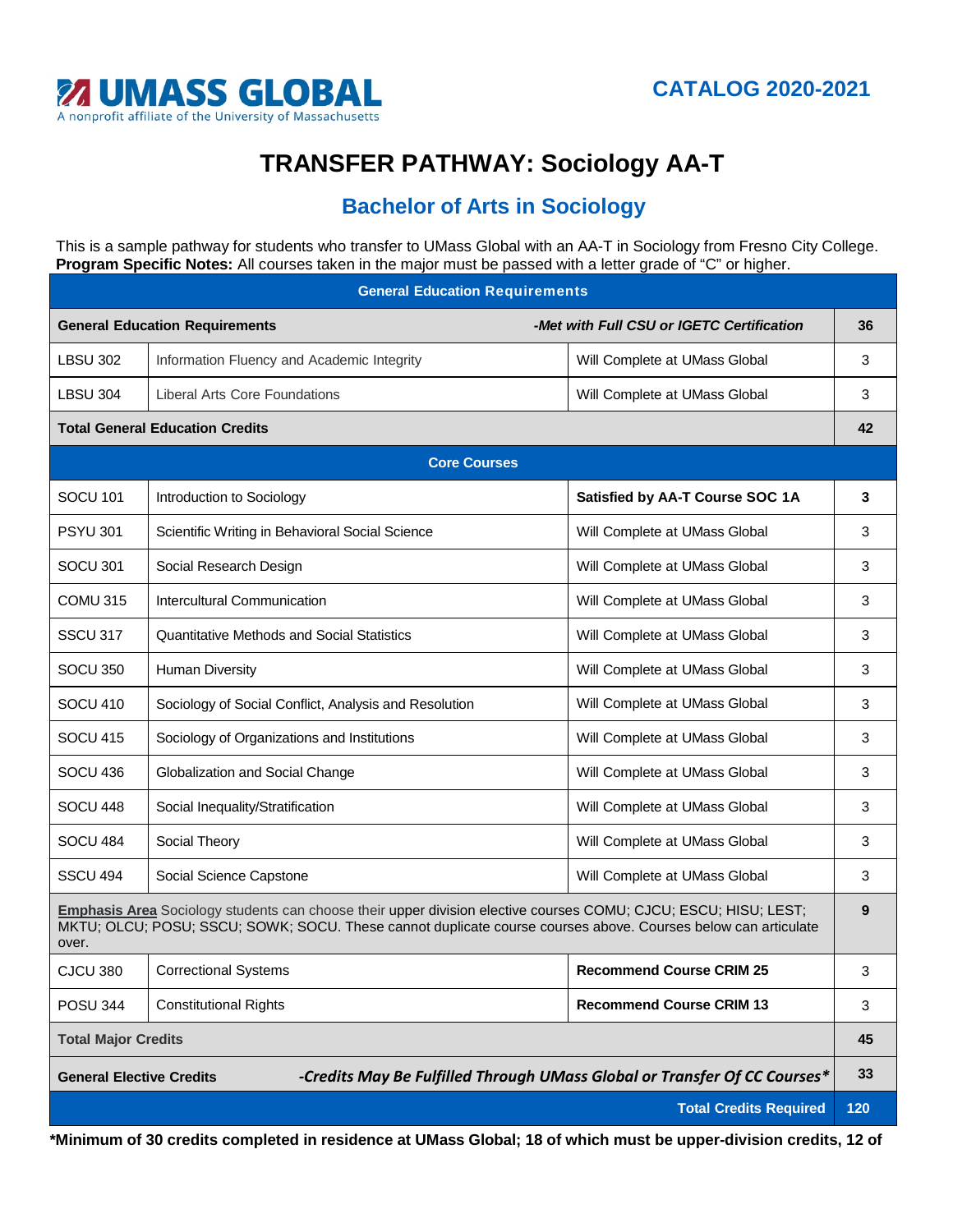

## **TRANSFER PATHWAY: Sociology AA-T**

## **Bachelor of Arts in Sociology**

This is a sample pathway for students who transfer to UMass Global with an AA-T in Sociology from Fresno City College. **Program Specific Notes:** All courses taken in the major must be passed with a letter grade of "C" or higher.

| <b>General Education Requirements</b>                                                                                                                                                                                                     |                                                       |                                           |     |
|-------------------------------------------------------------------------------------------------------------------------------------------------------------------------------------------------------------------------------------------|-------------------------------------------------------|-------------------------------------------|-----|
| <b>General Education Requirements</b>                                                                                                                                                                                                     |                                                       | -Met with Full CSU or IGETC Certification | 36  |
| <b>LBSU 302</b>                                                                                                                                                                                                                           | Information Fluency and Academic Integrity            | Will Complete at UMass Global             | 3   |
| <b>LBSU 304</b>                                                                                                                                                                                                                           | <b>Liberal Arts Core Foundations</b>                  | Will Complete at UMass Global             | 3   |
| <b>Total General Education Credits</b>                                                                                                                                                                                                    |                                                       |                                           | 42  |
| <b>Core Courses</b>                                                                                                                                                                                                                       |                                                       |                                           |     |
| <b>SOCU 101</b>                                                                                                                                                                                                                           | Introduction to Sociology                             | Satisfied by AA-T Course SOC 1A           | 3   |
| <b>PSYU 301</b>                                                                                                                                                                                                                           | Scientific Writing in Behavioral Social Science       | Will Complete at UMass Global             | 3   |
| SOCU 301                                                                                                                                                                                                                                  | Social Research Design                                | Will Complete at UMass Global             | 3   |
| COMU 315                                                                                                                                                                                                                                  | Intercultural Communication                           | Will Complete at UMass Global             | 3   |
| SSCU 317                                                                                                                                                                                                                                  | <b>Quantitative Methods and Social Statistics</b>     | Will Complete at UMass Global             | 3   |
| <b>SOCU 350</b>                                                                                                                                                                                                                           | <b>Human Diversity</b>                                | Will Complete at UMass Global             | 3   |
| <b>SOCU 410</b>                                                                                                                                                                                                                           | Sociology of Social Conflict, Analysis and Resolution | Will Complete at UMass Global             | 3   |
| <b>SOCU 415</b>                                                                                                                                                                                                                           | Sociology of Organizations and Institutions           | Will Complete at UMass Global             | 3   |
| SOCU 436                                                                                                                                                                                                                                  | Globalization and Social Change                       | Will Complete at UMass Global             | 3   |
| SOCU 448                                                                                                                                                                                                                                  | Social Inequality/Stratification                      | Will Complete at UMass Global             | 3   |
| SOCU 484                                                                                                                                                                                                                                  | Social Theory                                         | Will Complete at UMass Global             | 3   |
| SSCU 494                                                                                                                                                                                                                                  | Social Science Capstone                               | Will Complete at UMass Global             | 3   |
| Emphasis Area Sociology students can choose their upper division elective courses COMU; CJCU; ESCU; HISU; LEST;<br>MKTU; OLCU; POSU; SSCU; SOWK; SOCU. These cannot duplicate course courses above. Courses below can articulate<br>over. |                                                       |                                           | 9   |
| <b>CJCU 380</b>                                                                                                                                                                                                                           | <b>Correctional Systems</b>                           | <b>Recommend Course CRIM 25</b>           | 3   |
| <b>POSU 344</b>                                                                                                                                                                                                                           | <b>Constitutional Rights</b>                          | <b>Recommend Course CRIM 13</b>           | 3   |
| <b>Total Major Credits</b>                                                                                                                                                                                                                |                                                       |                                           | 45  |
| -Credits May Be Fulfilled Through UMass Global or Transfer Of CC Courses*<br><b>General Elective Credits</b>                                                                                                                              |                                                       |                                           | 33  |
| <b>Total Credits Required</b>                                                                                                                                                                                                             |                                                       |                                           | 120 |

**\*Minimum of 30 credits completed in residence at UMass Global; 18 of which must be upper-division credits, 12 of**